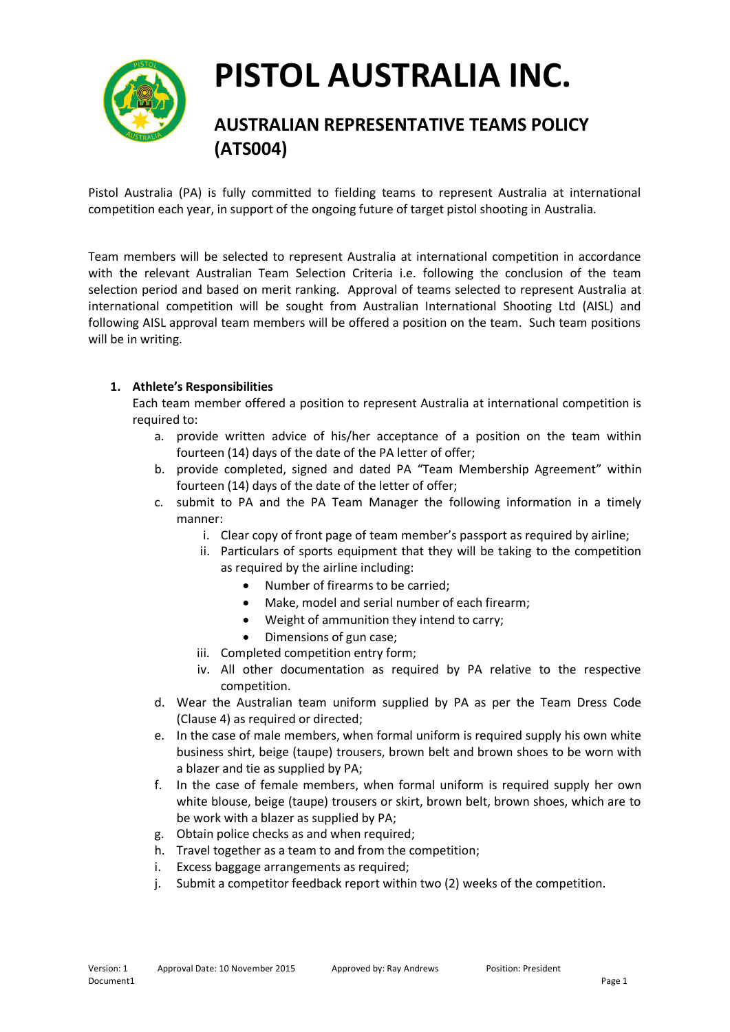

## **AUSTRALIAN REPRESENTATIVE TEAMS POLICY (ATS004)**

Pistol Australia (PA) is fully committed to fielding teams to represent Australia at international competition each year, in support of the ongoing future of target pistol shooting in Australia.

Team members will be selected to represent Australia at international competition in accordance with the relevant Australian Team Selection Criteria i.e. following the conclusion of the team selection period and based on merit ranking. Approval of teams selected to represent Australia at international competition will be sought from Australian International Shooting Ltd (AISL) and following AISL approval team members will be offered a position on the team. Such team positions will be in writing.

### **1. Athlete's Responsibilities**

Each team member offered a position to represent Australia at international competition is required to:

- a. provide written advice of his/her acceptance of a position on the team within fourteen (14) days of the date of the PA letter of offer;
- b. provide completed, signed and dated PA "Team Membership Agreement" within fourteen (14) days of the date of the letter of offer;
- c. submit to PA and the PA Team Manager the following information in a timely manner:
	- i. Clear copy of front page of team member's passport as required by airline;
	- ii. Particulars of sports equipment that they will be taking to the competition as required by the airline including:
		- Number of firearms to be carried:
		- Make, model and serial number of each firearm;
		- Weight of ammunition they intend to carry;
		- Dimensions of gun case;
	- iii. Completed competition entry form;
	- iv. All other documentation as required by PA relative to the respective competition.
- d. Wear the Australian team uniform supplied by PA as per the Team Dress Code (Clause 4) as required or directed;
- e. In the case of male members, when formal uniform is required supply his own white business shirt, beige (taupe) trousers, brown belt and brown shoes to be worn with a blazer and tie as supplied by PA;
- f. In the case of female members, when formal uniform is required supply her own white blouse, beige (taupe) trousers or skirt, brown belt, brown shoes, which are to be work with a blazer as supplied by PA;
- g. Obtain police checks as and when required;
- h. Travel together as a team to and from the competition;
- i. Excess baggage arrangements as required;
- j. Submit a competitor feedback report within two (2) weeks of the competition.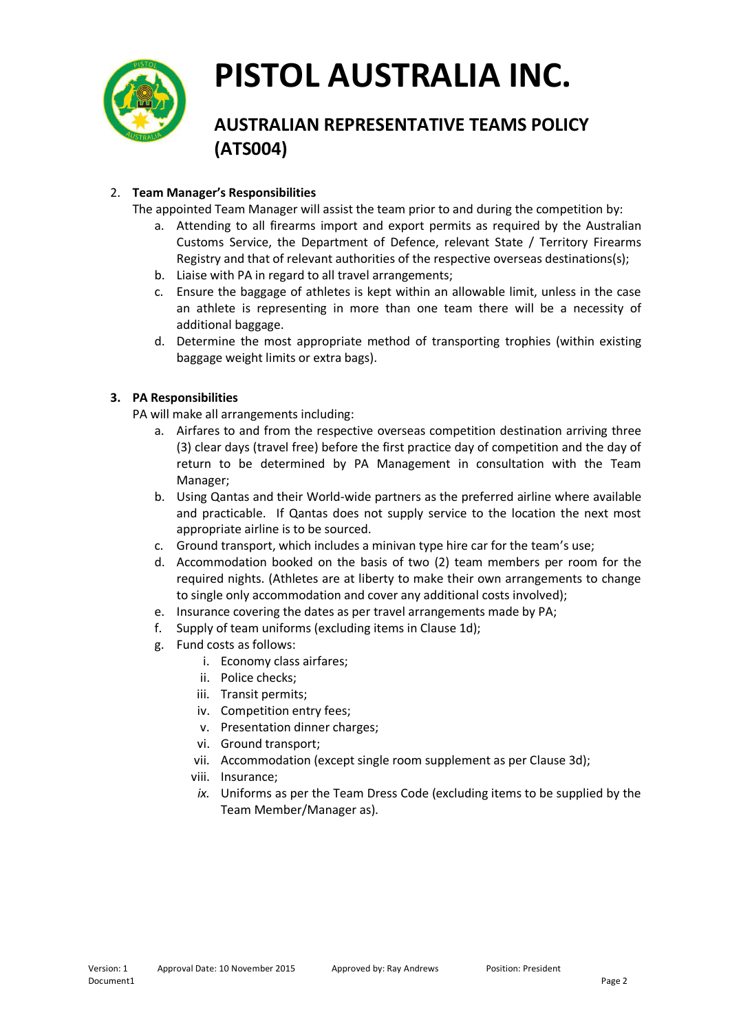

## **AUSTRALIAN REPRESENTATIVE TEAMS POLICY (ATS004)**

### 2. **Team Manager's Responsibilities**

The appointed Team Manager will assist the team prior to and during the competition by:

- a. Attending to all firearms import and export permits as required by the Australian Customs Service, the Department of Defence, relevant State / Territory Firearms Registry and that of relevant authorities of the respective overseas destinations(s);
- b. Liaise with PA in regard to all travel arrangements;
- c. Ensure the baggage of athletes is kept within an allowable limit, unless in the case an athlete is representing in more than one team there will be a necessity of additional baggage.
- d. Determine the most appropriate method of transporting trophies (within existing baggage weight limits or extra bags).

### **3. PA Responsibilities**

PA will make all arrangements including:

- a. Airfares to and from the respective overseas competition destination arriving three (3) clear days (travel free) before the first practice day of competition and the day of return to be determined by PA Management in consultation with the Team Manager;
- b. Using Qantas and their World-wide partners as the preferred airline where available and practicable. If Qantas does not supply service to the location the next most appropriate airline is to be sourced.
- c. Ground transport, which includes a minivan type hire car for the team's use;
- d. Accommodation booked on the basis of two (2) team members per room for the required nights. (Athletes are at liberty to make their own arrangements to change to single only accommodation and cover any additional costs involved);
- e. Insurance covering the dates as per travel arrangements made by PA;
- f. Supply of team uniforms (excluding items in Clause 1d);
- g. Fund costs as follows:
	- i. Economy class airfares;
	- ii. Police checks;
	- iii. Transit permits;
	- iv. Competition entry fees;
	- v. Presentation dinner charges;
	- vi. Ground transport;
	- vii. Accommodation (except single room supplement as per Clause 3d);
	- viii. Insurance;
	- *ix.* Uniforms as per the Team Dress Code (excluding items to be supplied by the Team Member/Manager as).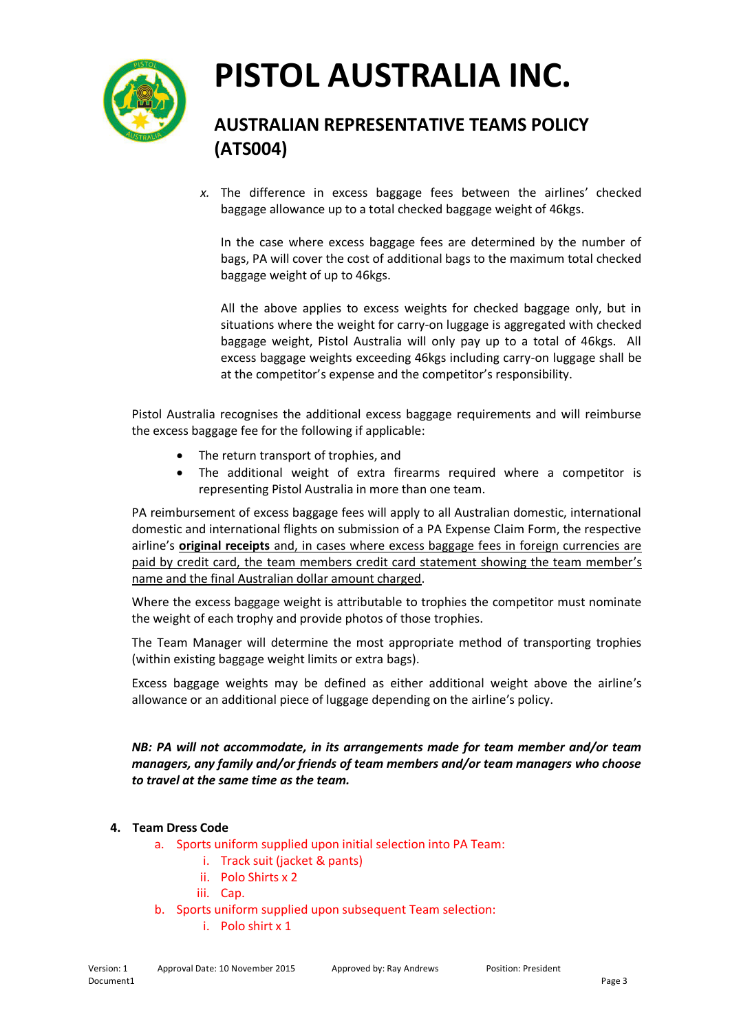

## **AUSTRALIAN REPRESENTATIVE TEAMS POLICY (ATS004)**

*x.* The difference in excess baggage fees between the airlines' checked baggage allowance up to a total checked baggage weight of 46kgs.

In the case where excess baggage fees are determined by the number of bags, PA will cover the cost of additional bags to the maximum total checked baggage weight of up to 46kgs.

All the above applies to excess weights for checked baggage only, but in situations where the weight for carry-on luggage is aggregated with checked baggage weight, Pistol Australia will only pay up to a total of 46kgs. All excess baggage weights exceeding 46kgs including carry-on luggage shall be at the competitor's expense and the competitor's responsibility.

Pistol Australia recognises the additional excess baggage requirements and will reimburse the excess baggage fee for the following if applicable:

- The return transport of trophies, and
- The additional weight of extra firearms required where a competitor is representing Pistol Australia in more than one team.

PA reimbursement of excess baggage fees will apply to all Australian domestic, international domestic and international flights on submission of a PA Expense Claim Form, the respective airline's **original receipts** and, in cases where excess baggage fees in foreign currencies are paid by credit card, the team members credit card statement showing the team member's name and the final Australian dollar amount charged.

Where the excess baggage weight is attributable to trophies the competitor must nominate the weight of each trophy and provide photos of those trophies.

The Team Manager will determine the most appropriate method of transporting trophies (within existing baggage weight limits or extra bags).

Excess baggage weights may be defined as either additional weight above the airline's allowance or an additional piece of luggage depending on the airline's policy.

*NB: PA will not accommodate, in its arrangements made for team member and/or team managers, any family and/or friends of team members and/or team managers who choose to travel at the same time as the team.* 

### **4. Team Dress Code**

- a. Sports uniform supplied upon initial selection into PA Team:
	- i. Track suit (jacket & pants)
	- ii. Polo Shirts x 2
	- iii. Cap.
- b. Sports uniform supplied upon subsequent Team selection:
	- i. Polo shirt x 1